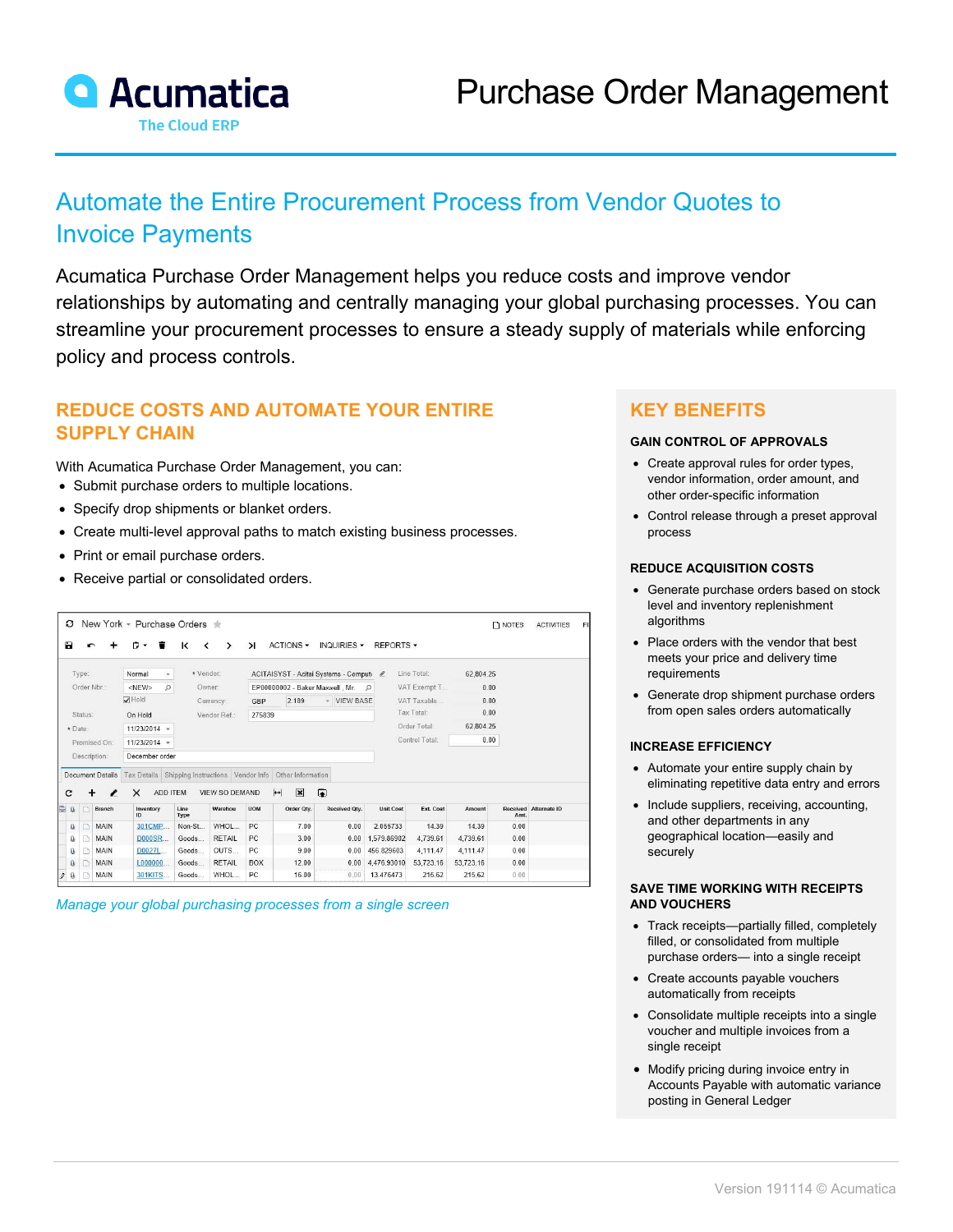

# Automate the Entire Procurement Process from Vendor Quotes to Invoice Payments

Acumatica Purchase Order Management helps you reduce costs and improve vendor relationships by automating and centrally managing your global purchasing processes. You can streamline your procurement processes to ensure a steady supply of materials while enforcing policy and process controls.

## **REDUCE COSTS AND AUTOMATE YOUR ENTIRE SUPPLY CHAIN**

With Acumatica Purchase Order Management, you can:

- Submit purchase orders to multiple locations.
- Specify drop shipments or blanket orders.
- Create multi-level approval paths to match existing business processes.
- Print or email purchase orders.
- Receive partial or consolidated orders.

| New York - Purchase Orders $\pm$<br>з |              |                         |                                               |                               |                       |                                             |                                          |               |                  |                |           | $\n  NOTES\n$ | <b>ACTIVITIES</b>     | FI |
|---------------------------------------|--------------|-------------------------|-----------------------------------------------|-------------------------------|-----------------------|---------------------------------------------|------------------------------------------|---------------|------------------|----------------|-----------|---------------|-----------------------|----|
| Ы                                     |              |                         | n.<br>一盲<br>$\cdot$                           | к<br>$\overline{\phantom{a}}$ | $\rightarrow$         | $\lambda$                                   | ACTIONS -                                | INQUIRIES -   | REPORTS -        |                |           |               |                       |    |
|                                       | Type:        |                         | Normal                                        | * Vendor:<br>÷                |                       |                                             | ACITAISYST - Acitai Systems - Computi &  |               |                  | Line Total:    | 62.804.25 |               |                       |    |
|                                       | Order Nbr.:  |                         | $\mathcal{Q}$<br><new></new>                  | Owner:                        |                       | EP00000002 - Baker Maxwell, Mr.<br>$\Omega$ |                                          |               |                  | VAT Exempt T   | 0.00      |               |                       |    |
|                                       |              |                         | $\overline{\smash[b]{\mathbf{v}}}$ Hold       |                               | Currency:             | GBP                                         | 2.189                                    | - VIEW BASE   |                  | VAT Taxable    | 0.00      |               |                       |    |
| Status:                               |              |                         | On Hold                                       | Vendor Ref:                   |                       | 275839                                      |                                          |               |                  | Tax Total:     | 0.00      |               |                       |    |
|                                       | * Date:      |                         | $11/23/2014$ -                                |                               |                       |                                             |                                          |               |                  | Order Total:   |           | 62,804.25     |                       |    |
|                                       | Promised On: |                         | 11/23/2014 -                                  |                               |                       |                                             |                                          |               |                  | Control Total: | 0.00      |               |                       |    |
|                                       |              | Description:            | December order                                |                               |                       |                                             |                                          |               |                  |                |           |               |                       |    |
|                                       |              | <b>Document Details</b> | Tax Details Shipping Instructions Vendor Info |                               |                       |                                             | Other Information                        |               |                  |                |           |               |                       |    |
| c                                     |              |                         | $\times$<br>,                                 | ADD ITEM                      | <b>VIEW SO DEMAND</b> |                                             | $\mathbf{\overline{x}}$<br>$\rightarrow$ | $\bullet$     |                  |                |           |               |                       |    |
| <b>B</b> 0                            | n            | Branch                  | Inventory<br>ID                               | Line<br>Type                  | Warehou               | <b>UOM</b>                                  | Order Qty.                               | Received Otv. | <b>Unit Cost</b> | Ext. Cost      | Amount    | Amt.          | Received Alternate ID |    |
| $\mathbf{0}$                          | $\Box$       | <b>MAIN</b>             | 301CMP                                        | Non-St                        | WHOL                  | PC.                                         | 7.00                                     | 0.00          | 2.055733         | 14.39          | 14.39     | 0.00          |                       |    |
| Û                                     | D            | <b>MAIN</b>             | D000SR                                        | Goods                         | <b>RETAIL</b>         | PC                                          | 3.00                                     | 0.00          | 1,579,86902      | 4.739.61       | 4,739.61  | 0.00          |                       |    |
| Ū.                                    | n            | MAIN                    | D0027L                                        | Goods                         | OUTS                  | PC.                                         | 9.00                                     | 0.00          | 456.829603       | 4.111.47       | 4.111.47  | 0.00          |                       |    |
| Ū.                                    | n            | MAIN                    | L000000                                       | Goods                         | <b>RETAIL</b>         | <b>BOX</b>                                  | 12.00                                    | 0.00          | 4.476.93010      | 53,723.16      | 53,723.16 | 0.00          |                       |    |
| ù<br>10                               |              | MAIN                    | 301KITS                                       | Goods                         | WHOL                  | PC.                                         | 16.00                                    | 0.00          | 13.476473        | 215.62         | 215.62    | 0.00          |                       |    |

*Manage your global purchasing processes from a single screen*

### **KEY BENEFITS**

#### **GAIN CONTROL OF APPROVALS**

- Create approval rules for order types, vendor information, order amount, and other order-specific information
- Control release through a preset approval process

#### **REDUCE ACQUISITION COSTS**

- Generate purchase orders based on stock level and inventory replenishment algorithms
- Place orders with the vendor that best meets your price and delivery time requirements
- Generate drop shipment purchase orders from open sales orders automatically

#### **INCREASE EFFICIENCY**

- Automate your entire supply chain by eliminating repetitive data entry and errors
- Include suppliers, receiving, accounting, and other departments in any geographical location—easily and securely

#### **SAVE TIME WORKING WITH RECEIPTS AND VOUCHERS**

- Track receipts—partially filled, completely filled, or consolidated from multiple purchase orders— into a single receipt
- Create accounts payable vouchers automatically from receipts
- Consolidate multiple receipts into a single voucher and multiple invoices from a single receipt
- Modify pricing during invoice entry in Accounts Payable with automatic variance posting in General Ledger